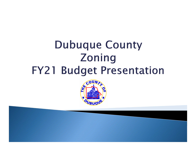# **Dubuque County Zoning FY21 Budget Presentation**

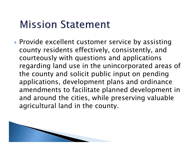### **Mission Statement**

▶ Provide excellent customer service by assisting county residents effectively, consistently, and courteously with questions and applications regarding land use in the unincorporated areas of the county and solicit public input on pending applications, development plans and ordinance amendments to facilitate planned development in and around the cities, while preserving valuable agricultural land in the county.

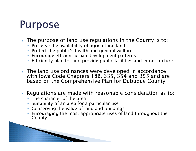### **Purpose**

- The purpose of land use regulations in the County is to:
	- Preserve the availability of agricultural land
	- Protect the public's health and general welfare
	- Encourage efficient urban development patterns
	- $\circ$ Efficiently plan for and provide public facilities and infrastructure
- The land use ordinances were developed in accordance with Iowa Code Chapters 18B, 335, 354 and 355 and are based on the Comprehensive Plan for Dubuque County
- $\blacktriangleright$  Regulations are made with reasonable consideration as to:
	- The character of the area
	- Suitability of an area for a particular use
	- Conserving the value of land and buildings
	- Encouraging the most appropriate uses of land throughout the County

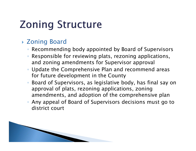# **Zoning Structure**

#### Zoning Board

- Recommending body appointed by Board of Supervisors
- Responsible for reviewing plats, rezoning applications, and zoning amendments for Supervisor approval
- Update the Comprehensive Plan and recommend areas for future development in the County
- Board of Supervisors, as legislative body, has final say on approval of plats, rezoning applications, zoning amendments, and adoption of the comprehensive plan
- $\overline{O}$  Any appeal of Board of Supervisors decisions must go to district court

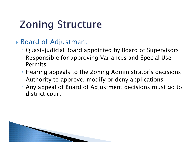# **Zoning Structure**

#### Board of Adjustment

- Quasi-judicial Board appointed by Board of Supervisors
- $\bullet$  Responsible for approving Variances and Special Use Permits
- Hearing appeals to the Zoning Administrator's decisions
- Authority to approve, modify or deny applications
- Any appeal of Board of Adjustment decisions must go to district court

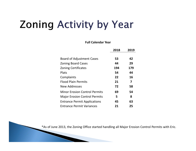# **Zoning Activity by Year**

**Full Calendar Year**

| 2018 | 2019 |
|------|------|
| 53   | 42   |
| 44   | 29   |
| 194  | 179  |
| 54   | 44   |
| 22   | 16   |
| 21   | 7    |
| 72   | 58   |
| 69   | 54   |
| 5    | 8    |
| 45   | 63   |
| 21   | 25   |
|      |      |

\*As of June 2013, the Zoning Office started handling all Major Erosion Control Permits with Eric.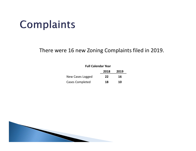# Complaints

There were 16 new Zoning Complaints filed in 2019.

| <b>Full Calendar Year</b> |      |      |
|---------------------------|------|------|
|                           | 2018 | 2019 |
| New Cases Logged          | 22   | 16   |
| <b>Cases Completed</b>    | 18   | 10   |

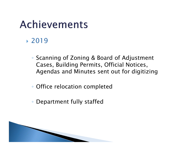## Achievements

#### 2019

- Scanning of Zoning & Board of Adjustment Cases, Building Permits, Official Notices, Agendas and Minutes sent out for digitizing
- Office relocation completed
- Department fully staffed

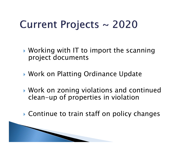# Current Projects ~ 2020

- Working with IT to import the scanning project documents
- Work on Platting Ordinance Update
- Work on zoning violations and continued clean-up of properties in violation
- ▶ Continue to train staff on policy changes

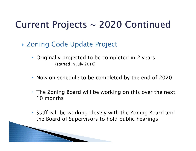### Current Projects ~ 2020 Continued

Zoning Code Update Project

**MARK COMMON COMMON COMMON COMMON COMMON COMMON COMMON COMMON COMMON COMMON COMMON COMMON COMMON COMMON COMMON COMMON COMMON COMMON COMMON COMMON COMMON COMMON COMMON COMMON COMMON COMMON COMMON COMMON COMMON COMMON COMMON** 

- Originally projected to be completed in 2 years (started in July 2016)
- Now on schedule to be completed by the end of 2020
- The Zoning Board will be working on this over the next 10 months
- Staff will be working closely with the Zoning Board and the Board of Supervisors to hold public hearings